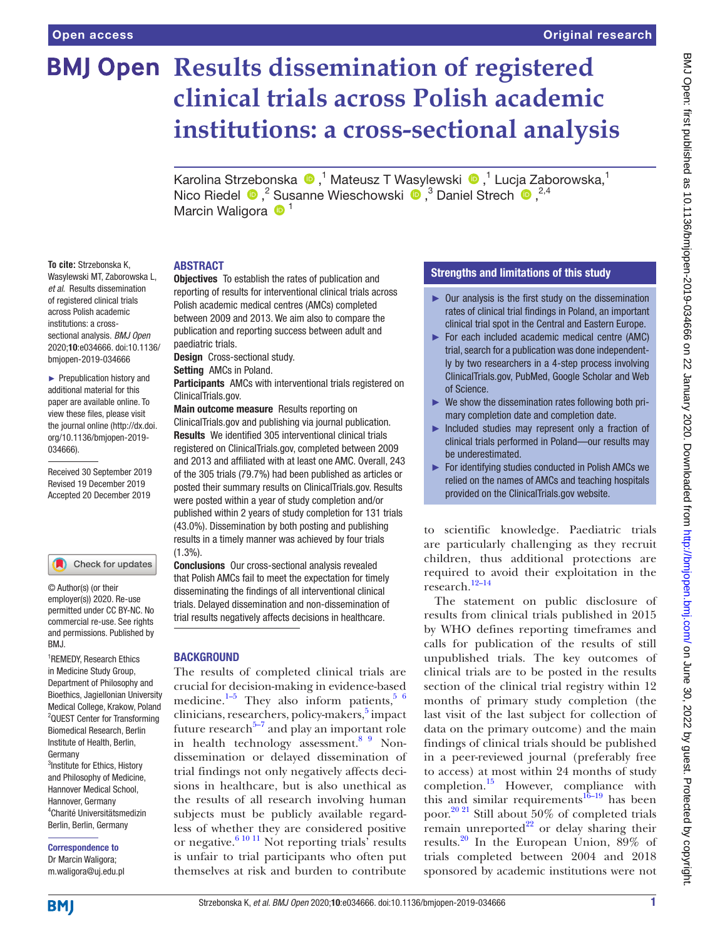# **BMJ Open Results dissemination of registered clinical trials across Polish academic institutions: a cross-sectional analysis**

KarolinaStrzebonska ®,<sup>1</sup> Mateusz T Wasylewski ®,<sup>1</sup> Lucja Zaborowska,<sup>1</sup> NicoRiedel  $\bullet$ , <sup>2</sup> Susanne Wieschowski  $\bullet$ , <sup>3</sup> Daniel Strech  $\bullet$ , <sup>2,4</sup> Marcin Waligora  $\mathbf{0}^1$ 

**To cite:** Strzebonska K, Wasylewski MT, Zaborowska L, *et al*. Results dissemination of registered clinical trials across Polish academic institutions: a crosssectional analysis. *BMJ Open* 2020;10:e034666. doi:10.1136/ bmjopen-2019-034666

► Prepublication history and additional material for this paper are available online. To view these files, please visit the journal online (http://dx.doi. org/10.1136/bmjopen-2019- 034666).

Received 30 September 2019 Revised 19 December 2019 Accepted 20 December 2019



© Author(s) (or their employer(s)) 2020. Re-use permitted under CC BY-NC. No commercial re-use. See rights and permissions. Published by BMJ.

1 REMEDY, Research Ethics in Medicine Study Group, Department of Philosophy and Bioethics, Jagiellonian University Medical College, Krakow, Poland <sup>2</sup>QUEST Center for Transforming Biomedical Research, Berlin Institute of Health, Berlin, Germany <sup>3</sup>Institute for Ethics, History and Philosophy of Medicine, Hannover Medical School, Hannover, Germany 4 Charité Universitätsmedizin Berlin, Berlin, Germany

Correspondence to Dr Marcin Waligora; m.waligora@uj.edu.pl

# ABSTRACT

**Objectives** To establish the rates of publication and reporting of results for interventional clinical trials across Polish academic medical centres (AMCs) completed between 2009 and 2013. We aim also to compare the publication and reporting success between adult and paediatric trials.

Design Cross-sectional study.

Setting AMCs in Poland.

Participants AMCs with interventional trials registered on ClinicalTrials.gov.

Main outcome measure Results reporting on ClinicalTrials.gov and publishing via journal publication. Results We identified 305 interventional clinical trials registered on ClinicalTrials.gov, completed between 2009 and 2013 and affiliated with at least one AMC. Overall, 243 of the 305 trials (79.7%) had been published as articles or posted their summary results on ClinicalTrials.gov. Results were posted within a year of study completion and/or published within 2 years of study completion for 131 trials (43.0%). Dissemination by both posting and publishing results in a timely manner was achieved by four trials (1.3%).

Conclusions Our cross-sectional analysis revealed that Polish AMCs fail to meet the expectation for timely disseminating the findings of all interventional clinical trials. Delayed dissemination and non-dissemination of trial results negatively affects decisions in healthcare.

# **BACKGROUND**

The results of completed clinical trials are crucial for decision-making in evidence-based medicine.<sup>[1–5](#page-8-0)</sup> They also inform patients,<sup>5 6</sup> clinicians, researchers, policy-makers,<sup>[5](#page-8-1)</sup> impact future research $5-7$  and play an important role in health technology assessment.<sup>8</sup> 9 Nondissemination or delayed dissemination of trial findings not only negatively affects decisions in healthcare, but is also unethical as the results of all research involving human subjects must be publicly available regardless of whether they are considered positive or negative.<sup>[6 10 11](#page-8-3)</sup> Not reporting trials<sup>7</sup> results is unfair to trial participants who often put themselves at risk and burden to contribute

# Strengths and limitations of this study

- ► Our analysis is the first study on the dissemination rates of clinical trial findings in Poland, an important clinical trial spot in the Central and Eastern Europe.
- ► For each included academic medical centre (AMC) trial, search for a publication was done independently by two researchers in a 4-step process involving ClinicalTrials.gov, PubMed, Google Scholar and Web of Science.
- ► We show the dissemination rates following both primary completion date and completion date.
- ► Included studies may represent only a fraction of clinical trials performed in Poland—our results may be underestimated.
- ► For identifying studies conducted in Polish AMCs we relied on the names of AMCs and teaching hospitals provided on the ClinicalTrials.gov website.

to scientific knowledge. Paediatric trials are particularly challenging as they recruit children, thus additional protections are required to avoid their exploitation in the research.[12–14](#page-8-4)

The statement on public disclosure of results from clinical trials published in 2015 by WHO defines reporting timeframes and calls for publication of the results of still unpublished trials. The key outcomes of clinical trials are to be posted in the results section of the clinical trial registry within 12 months of primary study completion (the last visit of the last subject for collection of data on the primary outcome) and the main findings of clinical trials should be published in a peer-reviewed journal (preferably free to access) at most within 24 months of study completion.[15](#page-8-5) However, compliance with this and similar requirements $16-19$  has been poor.<sup>[20 21](#page-8-7)</sup> Still about 50% of completed trials remain unreported $^{22}$  or delay sharing their results.[20](#page-8-7) In the European Union, 89% of trials completed between 2004 and 2018 sponsored by academic institutions were not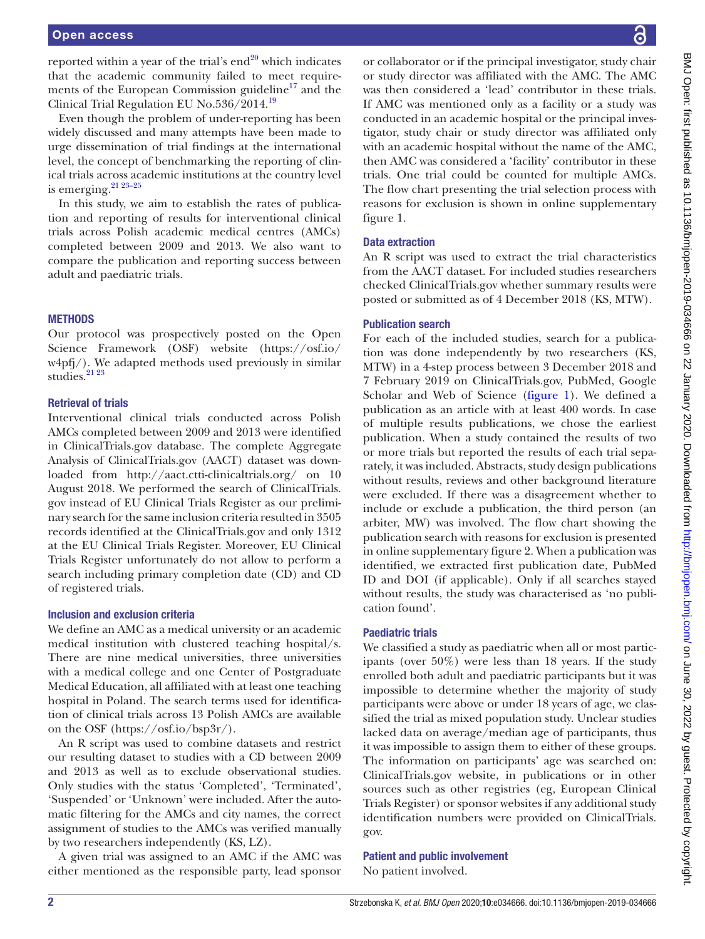reported within a year of the trial's  $end<sup>20</sup>$  which indicates that the academic community failed to meet requirements of the European Commission guideline<sup>17</sup> and the Clinical Trial Regulation EU No.536/2014.[19](#page-8-10)

Even though the problem of under-reporting has been widely discussed and many attempts have been made to urge dissemination of trial findings at the international level, the concept of benchmarking the reporting of clinical trials across academic institutions at the country level is emerging. $21 23-25$ 

In this study, we aim to establish the rates of publication and reporting of results for interventional clinical trials across Polish academic medical centres (AMCs) completed between 2009 and 2013. We also want to compare the publication and reporting success between adult and paediatric trials.

# **METHODS**

Our protocol was prospectively posted on the Open Science Framework (OSF) website [\(https://osf.io/](https://osf.io/w4pfj/) [w4pfj/](https://osf.io/w4pfj/)). We adapted methods used previously in similar studies. $21\,23$ 

### Retrieval of trials

Interventional clinical trials conducted across Polish AMCs completed between 2009 and 2013 were identified in ClinicalTrials.gov database. The complete Aggregate Analysis of ClinicalTrials.gov (AACT) dataset was downloaded from <http://aact.ctti-clinicaltrials.org/> on 10 August 2018. We performed the search of ClinicalTrials. gov instead of EU Clinical Trials Register as our preliminary search for the same inclusion criteria resulted in 3505 records identified at the ClinicalTrials.gov and only 1312 at the EU Clinical Trials Register. Moreover, EU Clinical Trials Register unfortunately do not allow to perform a search including primary completion date (CD) and CD of registered trials.

#### Inclusion and exclusion criteria

We define an AMC as a medical university or an academic medical institution with clustered teaching hospital/s. There are nine medical universities, three universities with a medical college and one Center of Postgraduate Medical Education, all affiliated with at least one teaching hospital in Poland. The search terms used for identification of clinical trials across 13 Polish AMCs are available on the OSF [\(https://osf.io/bsp3r/](https://osf.io/bsp3r/)).

An R script was used to combine datasets and restrict our resulting dataset to studies with a CD between 2009 and 2013 as well as to exclude observational studies. Only studies with the status 'Completed', 'Terminated', 'Suspended' or 'Unknown' were included. After the automatic filtering for the AMCs and city names, the correct assignment of studies to the AMCs was verified manually by two researchers independently (KS, LZ).

A given trial was assigned to an AMC if the AMC was either mentioned as the responsible party, lead sponsor

or collaborator or if the principal investigator, study chair or study director was affiliated with the AMC. The AMC was then considered a 'lead' contributor in these trials. If AMC was mentioned only as a facility or a study was conducted in an academic hospital or the principal investigator, study chair or study director was affiliated only with an academic hospital without the name of the AMC, then AMC was considered a 'facility' contributor in these trials. One trial could be counted for multiple AMCs. The flow chart presenting the trial selection process with reasons for exclusion is shown in [online supplementary](https://dx.doi.org/10.1136/bmjopen-2019-034666)  [figure 1.](https://dx.doi.org/10.1136/bmjopen-2019-034666)

# Data extraction

An R script was used to extract the trial characteristics from the AACT dataset. For included studies researchers checked ClinicalTrials.gov whether summary results were posted or submitted as of 4 December 2018 (KS, MTW).

### Publication search

For each of the included studies, search for a publication was done independently by two researchers (KS, MTW) in a 4-step process between 3 December 2018 and 7 February 2019 on ClinicalTrials.gov, PubMed, Google Scholar and Web of Science ([figure](#page-2-0) 1). We defined a publication as an article with at least 400 words. In case of multiple results publications, we chose the earliest publication. When a study contained the results of two or more trials but reported the results of each trial separately, it was included. Abstracts, study design publications without results, reviews and other background literature were excluded. If there was a disagreement whether to include or exclude a publication, the third person (an arbiter, MW) was involved. The flow chart showing the publication search with reasons for exclusion is presented in [online supplementary figure 2](https://dx.doi.org/10.1136/bmjopen-2019-034666). When a publication was identified, we extracted first publication date, PubMed ID and DOI (if applicable). Only if all searches stayed without results, the study was characterised as 'no publication found'.

# Paediatric trials

We classified a study as paediatric when all or most participants (over 50%) were less than 18 years. If the study enrolled both adult and paediatric participants but it was impossible to determine whether the majority of study participants were above or under 18 years of age, we classified the trial as mixed population study. Unclear studies lacked data on average/median age of participants, thus it was impossible to assign them to either of these groups. The information on participants' age was searched on: ClinicalTrials.gov website, in publications or in other sources such as other registries (eg, European Clinical Trials Register) or sponsor websites if any additional study identification numbers were provided on ClinicalTrials. gov.

# Patient and public involvement

No patient involved.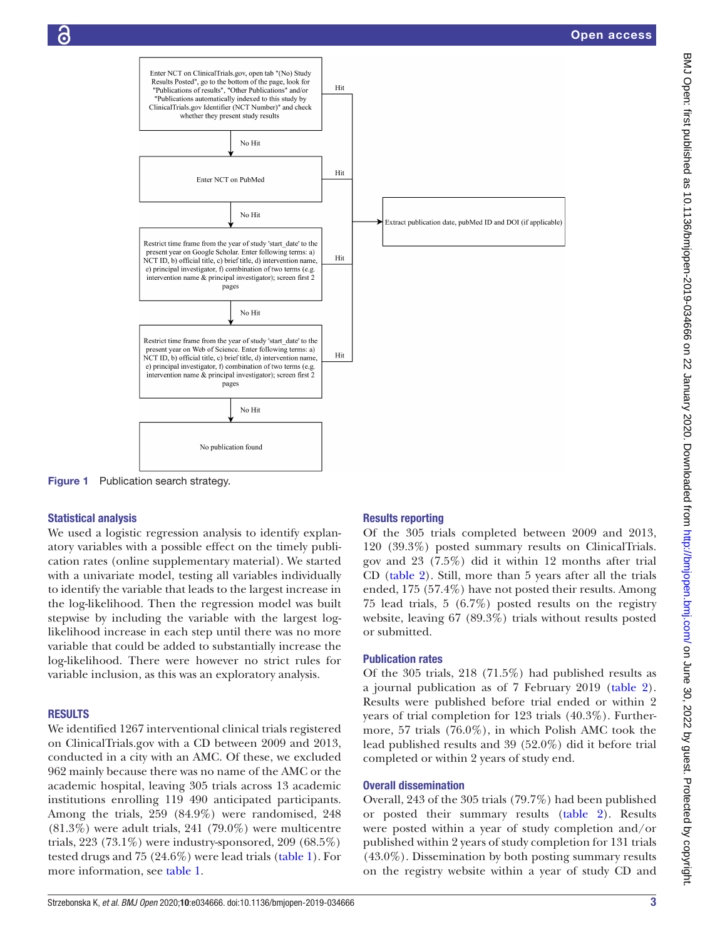

**Figure 1** Publication search strategy.

#### Statistical analysis

We used a logistic regression analysis to identify explanatory variables with a possible effect on the timely publication rates [\(online supplementary material\)](https://dx.doi.org/10.1136/bmjopen-2019-034666). We started with a univariate model, testing all variables individually to identify the variable that leads to the largest increase in the log-likelihood. Then the regression model was built stepwise by including the variable with the largest loglikelihood increase in each step until there was no more variable that could be added to substantially increase the log-likelihood. There were however no strict rules for variable inclusion, as this was an exploratory analysis.

#### **RESULTS**

We identified 1267 interventional clinical trials registered on ClinicalTrials.gov with a CD between 2009 and 2013, conducted in a city with an AMC. Of these, we excluded 962 mainly because there was no name of the AMC or the academic hospital, leaving 305 trials across 13 academic institutions enrolling 119 490 anticipated participants. Among the trials, 259 (84.9%) were randomised, 248 (81.3%) were adult trials, 241 (79.0%) were multicentre trials, 223 (73.1%) were industry-sponsored, 209 (68.5%) tested drugs and 75 (24.6%) were lead trials [\(table](#page-3-0) 1). For more information, see [table](#page-3-0) 1.

#### <span id="page-2-0"></span>Results reporting

Of the 305 trials completed between 2009 and 2013, 120 (39.3%) posted summary results on ClinicalTrials. gov and 23 (7.5%) did it within 12 months after trial CD [\(table](#page-4-0) 2). Still, more than 5 years after all the trials ended, 175 (57.4%) have not posted their results. Among 75 lead trials, 5 (6.7%) posted results on the registry website, leaving 67 (89.3%) trials without results posted or submitted.

#### Publication rates

Of the 305 trials, 218 (71.5%) had published results as a journal publication as of 7 February 2019 ([table](#page-4-0) 2). Results were published before trial ended or within 2 years of trial completion for 123 trials (40.3%). Furthermore, 57 trials (76.0%), in which Polish AMC took the lead published results and 39 (52.0%) did it before trial completed or within 2 years of study end.

#### Overall dissemination

Overall, 243 of the 305 trials (79.7%) had been published or posted their summary results ([table](#page-4-0) 2). Results were posted within a year of study completion and/or published within 2 years of study completion for 131 trials (43.0%). Dissemination by both posting summary results on the registry website within a year of study CD and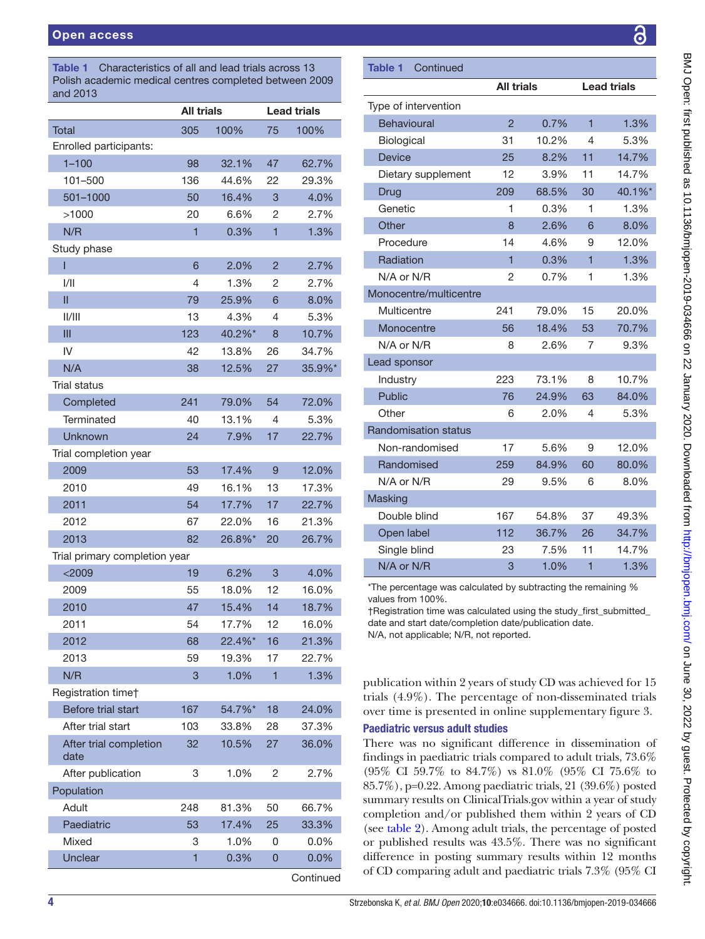#### <span id="page-3-0"></span>Table 1 Characteristics of all and lead trials across 13 Polish academic medical centres completed between 2009 and 2013

|                                | <b>All trials</b> |        |                | <b>Lead trials</b> |
|--------------------------------|-------------------|--------|----------------|--------------------|
| <b>Total</b>                   | 305               | 100%   | 75             | 100%               |
| Enrolled participants:         |                   |        |                |                    |
| $1 - 100$                      | 98                | 32.1%  | 47             | 62.7%              |
| 101-500                        | 136               | 44.6%  | 22             | 29.3%              |
| 501-1000                       | 50                | 16.4%  | 3              | 4.0%               |
| >1000                          | 20                | 6.6%   | 2              | 2.7%               |
| N/R                            | 1                 | 0.3%   | $\overline{1}$ | 1.3%               |
| Study phase                    |                   |        |                |                    |
| Ī                              | 6                 | 2.0%   | $\overline{2}$ | 2.7%               |
| 1/11                           | 4                 | 1.3%   | 2              | 2.7%               |
| $\overline{\mathsf{I}}$        | 79                | 25.9%  | 6              | 8.0%               |
| II/III                         | 13                | 4.3%   | 4              | 5.3%               |
| III                            | 123               | 40.2%* | 8              | 10.7%              |
| IV                             | 42                | 13.8%  | 26             | 34.7%              |
| N/A                            | 38                | 12.5%  | 27             | 35.9%*             |
| Trial status                   |                   |        |                |                    |
| Completed                      | 241               | 79.0%  | 54             | 72.0%              |
| Terminated                     | 40                | 13.1%  | 4              | 5.3%               |
| Unknown                        | 24                | 7.9%   | 17             | 22.7%              |
| Trial completion year          |                   |        |                |                    |
| 2009                           | 53                | 17.4%  | 9              | 12.0%              |
| 2010                           | 49                | 16.1%  | 13             | 17.3%              |
| 2011                           | 54                | 17.7%  | 17             | 22.7%              |
| 2012                           | 67                | 22.0%  | 16             | 21.3%              |
| 2013                           | 82                | 26.8%* | 20             | 26.7%              |
| Trial primary completion year  |                   |        |                |                    |
| $<$ 2009                       | 19                | 6.2%   | 3              | 4.0%               |
| 2009                           | 55                | 18.0%  | 12             | 16.0%              |
| 2010                           | 47                | 15.4%  | 14             | 18.7%              |
| 2011                           | 54                | 17.7%  | 12             | 16.0%              |
| 2012                           | 68                | 22.4%* | 16             | 21.3%              |
| 2013                           | 59                | 19.3%  | 17             | 22.7%              |
| N/R                            | 3                 | 1.0%   | 1              | 1.3%               |
| Registration time†             |                   |        |                |                    |
| Before trial start             | 167               | 54.7%* | 18             | 24.0%              |
| After trial start              | 103               | 33.8%  | 28             | 37.3%              |
| After trial completion<br>date | 32                | 10.5%  | 27             | 36.0%              |
| After publication              | 3                 | 1.0%   | 2              | 2.7%               |
| Population                     |                   |        |                |                    |
| Adult                          | 248               | 81.3%  | 50             | 66.7%              |
| Paediatric                     | 53                | 17.4%  | 25             | 33.3%              |
| Mixed                          | 3                 | 1.0%   | 0              | 0.0%               |
| <b>Unclear</b>                 | 1                 | 0.3%   | 0              | 0.0%               |
|                                |                   |        |                | Continued          |

| Continued<br><b>Table 1</b> |                   |         |                |                    |
|-----------------------------|-------------------|---------|----------------|--------------------|
|                             | <b>All trials</b> |         |                | <b>Lead trials</b> |
| Type of intervention        |                   |         |                |                    |
| <b>Behavioural</b>          | $\overline{a}$    | 0.7%    | $\overline{1}$ | 1.3%               |
| <b>Biological</b>           | 31                | 10.2%   | 4              | 5.3%               |
| <b>Device</b>               | 25                | 8.2%    | 11             | 14.7%              |
| Dietary supplement          | 12                | 3.9%    | 11             | 14.7%              |
| Drug                        | 209               | 68.5%   | 30             | 40.1%*             |
| Genetic                     | 1                 | 0.3%    | 1              | 1.3%               |
| Other                       | 8                 | 2.6%    | 6              | 8.0%               |
| Procedure                   | 14                | 4.6%    | 9              | 12.0%              |
| Radiation                   | $\overline{1}$    | 0.3%    | $\overline{1}$ | 1.3%               |
| N/A or N/R                  | 2                 | 0.7%    | 1              | 1.3%               |
| Monocentre/multicentre      |                   |         |                |                    |
| Multicentre                 | 241               | 79.0%   | 15             | 20.0%              |
| Monocentre                  | 56                | 18.4%   | 53             | 70.7%              |
| N/A or N/R                  | 8                 | 2.6%    | 7              | 9.3%               |
| Lead sponsor                |                   |         |                |                    |
| Industry                    | 223               | 73.1%   | 8              | 10.7%              |
| <b>Public</b>               | 76                | 24.9%   | 63             | 84.0%              |
| Other                       | 6                 | $2.0\%$ | 4              | 5.3%               |
| <b>Randomisation status</b> |                   |         |                |                    |
| Non-randomised              | 17                | 5.6%    | 9              | 12.0%              |
| Randomised                  | 259               | 84.9%   | 60             | 80.0%              |
| N/A or N/R                  | 29                | 9.5%    | 6              | 8.0%               |
| Masking                     |                   |         |                |                    |
| Double blind                | 167               | 54.8%   | 37             | 49.3%              |
| Open label                  | 112               | 36.7%   | 26             | 34.7%              |
| Single blind                | 23                | 7.5%    | 11             | 14.7%              |
| N/A or N/R                  | 3                 | 1.0%    | 1              | 1.3%               |

\*The percentage was calculated by subtracting the remaining % values from 100%.

†Registration time was calculated using the study\_first\_submitted\_ date and start date/completion date/publication date. N/A, not applicable; N/R, not reported.

publication within 2 years of study CD was achieved for 15 trials (4.9%). The percentage of non-disseminated trials over time is presented in [online supplementary figure 3.](https://dx.doi.org/10.1136/bmjopen-2019-034666)

# Paediatric versus adult studies

Mor

Ran

Mas

There was no significant difference in dissemination of findings in paediatric trials compared to adult trials, 73.6% (95% CI 59.7% to 84.7%) vs 81.0% (95% CI 75.6% to 85.7%), p=0.22. Among paediatric trials, 21 (39.6%) posted summary results on ClinicalTrials.gov within a year of study completion and/or published them within 2 years of CD (see [table](#page-4-0) 2). Among adult trials, the percentage of posted or published results was 43.5%. There was no significant difference in posting summary results within 12 months of CD comparing adult and paediatric trials 7.3% (95% CI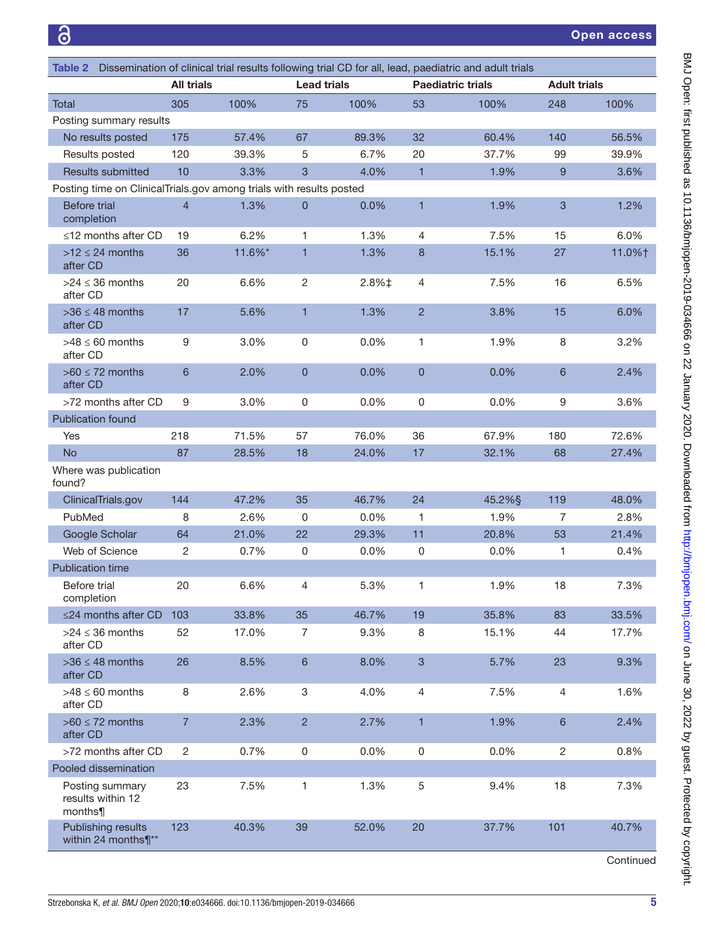Open access

<span id="page-4-0"></span>

| Table 2                                                             |                   |        |                    |       |                | Dissemination of clinical trial results following trial CD for all, lead, paediatric and adult trials |                     |        |
|---------------------------------------------------------------------|-------------------|--------|--------------------|-------|----------------|-------------------------------------------------------------------------------------------------------|---------------------|--------|
|                                                                     | <b>All trials</b> |        | <b>Lead trials</b> |       |                | <b>Paediatric trials</b>                                                                              | <b>Adult trials</b> |        |
| <b>Total</b>                                                        | 305               | 100%   | 75                 | 100%  | 53             | 100%                                                                                                  | 248                 | 100%   |
| Posting summary results                                             |                   |        |                    |       |                |                                                                                                       |                     |        |
| No results posted                                                   | 175               | 57.4%  | 67                 | 89.3% | 32             | 60.4%                                                                                                 | 140                 | 56.5%  |
| Results posted                                                      | 120               | 39.3%  | 5                  | 6.7%  | 20             | 37.7%                                                                                                 | 99                  | 39.9%  |
| <b>Results submitted</b>                                            | 10                | 3.3%   | 3                  | 4.0%  | $\mathbf{1}$   | 1.9%                                                                                                  | 9                   | 3.6%   |
| Posting time on ClinicalTrials.gov among trials with results posted |                   |        |                    |       |                |                                                                                                       |                     |        |
| <b>Before trial</b><br>completion                                   | $\overline{4}$    | 1.3%   | $\pmb{0}$          | 0.0%  | 1              | 1.9%                                                                                                  | $\mathbf{3}$        | 1.2%   |
| $\leq$ 12 months after CD                                           | 19                | 6.2%   | $\mathbf{1}$       | 1.3%  | 4              | 7.5%                                                                                                  | 15                  | 6.0%   |
| $>12 \leq 24$ months<br>after CD                                    | 36                | 11.6%* | $\mathbf{1}$       | 1.3%  | 8              | 15.1%                                                                                                 | 27                  | 11.0%† |
| $>24 \leq 36$ months<br>after CD                                    | 20                | 6.6%   | $\overline{2}$     | 2.8%‡ | 4              | 7.5%                                                                                                  | 16                  | 6.5%   |
| $>36 \leq 48$ months<br>after CD                                    | 17                | 5.6%   | $\mathbf{1}$       | 1.3%  | $\overline{c}$ | 3.8%                                                                                                  | 15                  | 6.0%   |
| $>48 \leq 60$ months<br>after CD                                    | 9                 | 3.0%   | $\mathbf 0$        | 0.0%  | 1              | 1.9%                                                                                                  | 8                   | 3.2%   |
| $>60 \le 72$ months<br>after CD                                     | 6                 | 2.0%   | $\pmb{0}$          | 0.0%  | $\pmb{0}$      | 0.0%                                                                                                  | $\,6\,$             | 2.4%   |
| >72 months after CD                                                 | 9                 | 3.0%   | $\mathsf 0$        | 0.0%  | $\mathsf 0$    | 0.0%                                                                                                  | 9                   | 3.6%   |
| <b>Publication found</b>                                            |                   |        |                    |       |                |                                                                                                       |                     |        |
| Yes                                                                 | 218               | 71.5%  | 57                 | 76.0% | 36             | 67.9%                                                                                                 | 180                 | 72.6%  |
| <b>No</b>                                                           | 87                | 28.5%  | 18                 | 24.0% | 17             | 32.1%                                                                                                 | 68                  | 27.4%  |
| Where was publication<br>found?                                     |                   |        |                    |       |                |                                                                                                       |                     |        |
| ClinicalTrials.gov                                                  | 144               | 47.2%  | 35                 | 46.7% | 24             | 45.2%§                                                                                                | 119                 | 48.0%  |
| PubMed                                                              | 8                 | 2.6%   | 0                  | 0.0%  | 1              | 1.9%                                                                                                  | 7                   | 2.8%   |
| Google Scholar                                                      | 64                | 21.0%  | 22                 | 29.3% | 11             | 20.8%                                                                                                 | 53                  | 21.4%  |
| Web of Science                                                      | 2                 | 0.7%   | $\mathbf 0$        | 0.0%  | 0              | 0.0%                                                                                                  | 1                   | 0.4%   |
| <b>Publication time</b>                                             |                   |        |                    |       |                |                                                                                                       |                     |        |
| Before trial<br>completion                                          | 20                | 6.6%   | 4                  | 5.3%  | 1              | 1.9%                                                                                                  | 18                  | 7.3%   |
| $\leq$ 24 months after CD                                           | 103               | 33.8%  | 35                 | 46.7% | 19             | 35.8%                                                                                                 | 83                  | 33.5%  |
| $>24 \leq 36$ months<br>after CD                                    | 52                | 17.0%  | $\overline{7}$     | 9.3%  | 8              | 15.1%                                                                                                 | 44                  | 17.7%  |
| $>36 \leq 48$ months<br>after CD                                    | 26                | 8.5%   | $6\phantom{1}$     | 8.0%  | $\mathbf{3}$   | 5.7%                                                                                                  | 23                  | 9.3%   |
| $>48 \leq 60$ months<br>after CD                                    | 8                 | 2.6%   | 3                  | 4.0%  | 4              | 7.5%                                                                                                  | $\overline{4}$      | 1.6%   |
| $>60 \le 72$ months<br>after CD                                     | $\overline{7}$    | 2.3%   | $\sqrt{2}$         | 2.7%  | $\mathbf{1}$   | 1.9%                                                                                                  | $\,$ 6 $\,$         | 2.4%   |
| >72 months after CD                                                 | $\overline{2}$    | 0.7%   | $\mathbf 0$        | 0.0%  | 0              | 0.0%                                                                                                  | $\overline{c}$      | 0.8%   |
| Pooled dissemination                                                |                   |        |                    |       |                |                                                                                                       |                     |        |
| Posting summary<br>results within 12<br>months¶                     | 23                | 7.5%   | 1                  | 1.3%  | 5              | 9.4%                                                                                                  | 18                  | 7.3%   |
| Publishing results<br>within 24 months¶**                           | 123               | 40.3%  | 39                 | 52.0% | 20             | 37.7%                                                                                                 | 101                 | 40.7%  |

Continued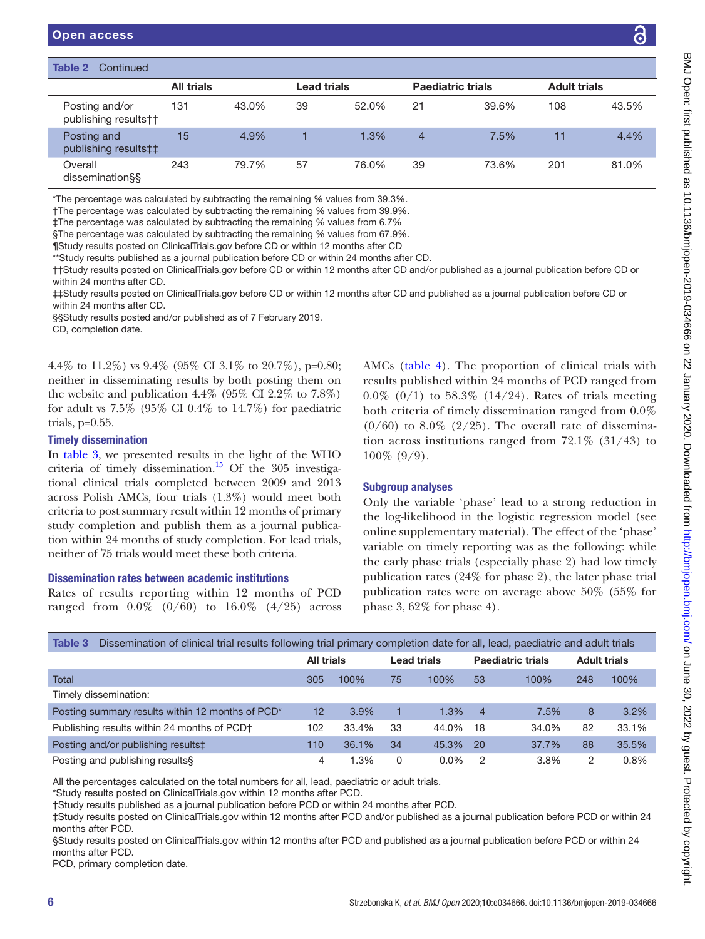Table 2 Continued

| Posting and/or<br>publishing results††                                                                                                                                                                                                                                                                                                                                                                                                                                                                                                                                                                                                                                                                                                                                                                                                                                                                                                                                               | 131 | 43.0% | 39           | 52.0% | 21             | 39.6%                                               | 108 | 43.5% |
|--------------------------------------------------------------------------------------------------------------------------------------------------------------------------------------------------------------------------------------------------------------------------------------------------------------------------------------------------------------------------------------------------------------------------------------------------------------------------------------------------------------------------------------------------------------------------------------------------------------------------------------------------------------------------------------------------------------------------------------------------------------------------------------------------------------------------------------------------------------------------------------------------------------------------------------------------------------------------------------|-----|-------|--------------|-------|----------------|-----------------------------------------------------|-----|-------|
| Posting and<br>publishing results#                                                                                                                                                                                                                                                                                                                                                                                                                                                                                                                                                                                                                                                                                                                                                                                                                                                                                                                                                   | 15  | 4.9%  | $\mathbf{1}$ | 1.3%  | $\overline{4}$ | 7.5%                                                | 11  | 4.4%  |
| Overall<br>dissemination§§                                                                                                                                                                                                                                                                                                                                                                                                                                                                                                                                                                                                                                                                                                                                                                                                                                                                                                                                                           | 243 | 79.7% | 57           | 76.0% | 39             | 73.6%                                               | 201 | 81.0% |
| *The percentage was calculated by subtracting the remaining % values from 39.3%.<br>The percentage was calculated by subtracting the remaining % values from 39.9%.<br>‡The percentage was calculated by subtracting the remaining % values from 6.7%<br>SThe percentage was calculated by subtracting the remaining % values from 67.9%.<br><b>f</b> Study results posted on ClinicalTrials.gov before CD or within 12 months after CD<br>**Study results published as a journal publication before CD or within 24 months after CD.<br>††Study results posted on ClinicalTrials.gov before CD or within 12 months after CD and/or published as a journal publication before CD or<br>within 24 months after CD.<br>‡‡Study results posted on ClinicalTrials.gov before CD or within 12 months after CD and published as a journal publication before CD or<br>within 24 months after CD.<br>§§Study results posted and/or published as of 7 February 2019.<br>CD, completion date. |     |       |              |       |                |                                                     |     |       |
| 4.4\% to 11.2\%) vs 9.4\% (95\% CI 3.1\% to 20.7\%), p=0.80;                                                                                                                                                                                                                                                                                                                                                                                                                                                                                                                                                                                                                                                                                                                                                                                                                                                                                                                         |     |       |              |       |                | AMCs (table 4). The proportion of clinical trials w |     |       |

All trials Lead trials Paediatric trials Adult trials

4.4\% to 11.2\%) vs neither in disseminating results by both posting them on the website and publication  $4.4\%$  (95% CI 2.2% to 7.8%) for adult vs  $7.5\%$  (95% CI 0.4% to 14.7%) for paediatric trials,  $p=0.55$ .

## Timely dissemination

In [table](#page-5-0) 3, we presented results in the light of the WHO criteria of timely dissemination.<sup>[15](#page-8-5)</sup> Of the 305 investigational clinical trials completed between 2009 and 2013 across Polish AMCs, four trials (1.3%) would meet both criteria to post summary result within 12 months of primary study completion and publish them as a journal publication within 24 months of study completion. For lead trials, neither of 75 trials would meet these both criteria.

# Dissemination rates between academic institutions

Rates of results reporting within 12 months of PCD ranged from  $0.0\%$   $(0/60)$  to  $16.0\%$   $(4/25)$  across

portion of clinical trials with results published within 24 months of PCD ranged from  $0.0\%$  (0/1) to 58.3% (14/24). Rates of trials meeting both criteria of timely dissemination ranged from 0.0%  $(0/60)$  to 8.0%  $(2/25)$ . The overall rate of dissemination across institutions ranged from  $72.1\%$  (31/43) to 100% (9/9).

# Subgroup analyses

Only the variable 'phase' lead to a strong reduction in the log-likelihood in the logistic regression model (see [online supplementary material](https://dx.doi.org/10.1136/bmjopen-2019-034666)). The effect of the 'phase' variable on timely reporting was as the following: while the early phase trials (especially phase 2) had low timely publication rates (24% for phase 2), the later phase trial publication rates were on average above 50% (55% for phase 3,  $62\%$  for phase 4).

<span id="page-5-0"></span>

| Dissemination of clinical trial results following trial primary completion date for all, lead, paediatric and adult trials<br>Table 3 |                   |         |    |             |                |                          |     |                     |
|---------------------------------------------------------------------------------------------------------------------------------------|-------------------|---------|----|-------------|----------------|--------------------------|-----|---------------------|
|                                                                                                                                       | <b>All trials</b> |         |    | Lead trials |                | <b>Paediatric trials</b> |     | <b>Adult trials</b> |
| Total                                                                                                                                 | 305               | 100%    | 75 | 100%        | 53             | 100%                     | 248 | 100%                |
| Timely dissemination:                                                                                                                 |                   |         |    |             |                |                          |     |                     |
| Posting summary results within 12 months of PCD <sup>*</sup>                                                                          | 12                | $3.9\%$ |    | 1.3%        | $\overline{4}$ | 7.5%                     | 8   | $3.2\%$             |
| Publishing results within 24 months of PCD+                                                                                           | 102               | 33.4%   | 33 | 44.0%       | 18             | 34.0%                    | 82  | 33.1%               |
| Posting and/or publishing results‡                                                                                                    | 110               | 36.1%   | 34 | 45.3%       | 20             | 37.7%                    | 88  | 35.5%               |
| Posting and publishing results§                                                                                                       | 4                 | 1.3%    | 0  | $0.0\%$     | $\overline{2}$ | 3.8%                     | 2   | $0.8\%$             |

All the percentages calculated on the total numbers for all, lead, paediatric or adult trials.

\*Study results posted on ClinicalTrials.gov within 12 months after PCD.

†Study results published as a journal publication before PCD or within 24 months after PCD.

‡Study results posted on ClinicalTrials.gov within 12 months after PCD and/or published as a journal publication before PCD or within 24 months after PCD.

§Study results posted on ClinicalTrials.gov within 12 months after PCD and published as a journal publication before PCD or within 24 months after PCD.

PCD, primary completion date.

6 Strzebonska K, *et al*. *BMJ Open* 2020;10:e034666. doi:10.1136/bmjopen-2019-034666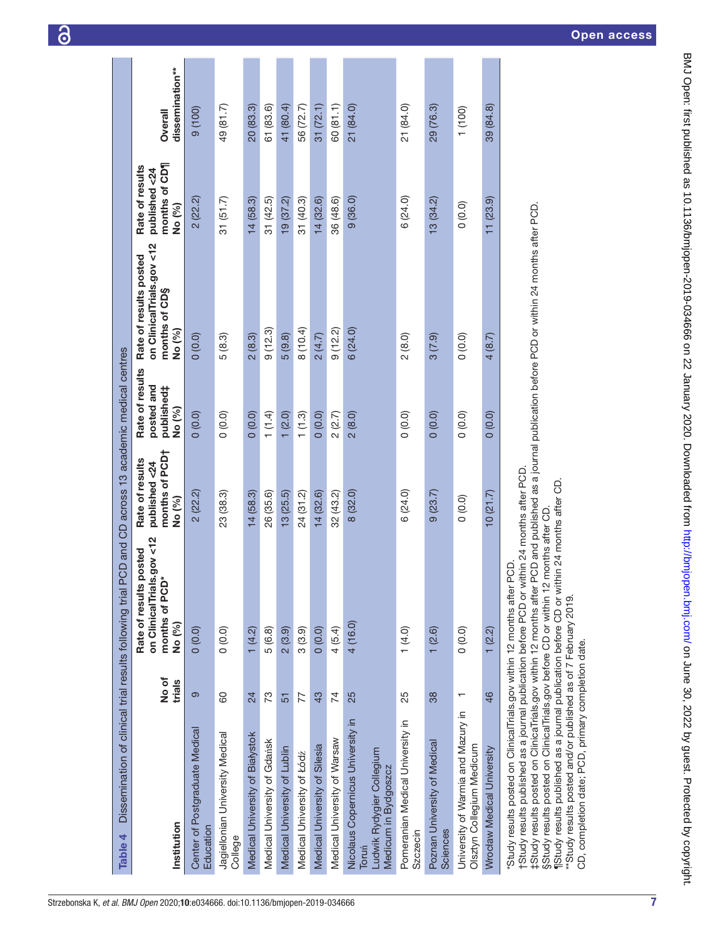<span id="page-6-0"></span>

| Table 4                                                                                                                                                                                                                                                                                                                                                                                                                                                                                                                                                                                                                   |                 | Dissemination of clinical trial results following trial PCD and CD across 13 academic medical centres |                                                              |                                                       |                                                                                |                                                             |                            |
|---------------------------------------------------------------------------------------------------------------------------------------------------------------------------------------------------------------------------------------------------------------------------------------------------------------------------------------------------------------------------------------------------------------------------------------------------------------------------------------------------------------------------------------------------------------------------------------------------------------------------|-----------------|-------------------------------------------------------------------------------------------------------|--------------------------------------------------------------|-------------------------------------------------------|--------------------------------------------------------------------------------|-------------------------------------------------------------|----------------------------|
| Institution                                                                                                                                                                                                                                                                                                                                                                                                                                                                                                                                                                                                               | No of<br>trials | on ClinicalTrials.gov <12<br>posted<br>months of PCD <sup>*</sup><br>Rate of results<br>No (%)        | months of PCD+<br>Rate of results<br>published <24<br>No (%) | Rate of results<br>posted and<br>published‡<br>No (%) | on ClinicalTrials.gov <12<br>Rate of results posted<br>months of CDS<br>No (%) | months of CD1<br>Rate of results<br>published <24<br>No (%) | dissemination**<br>Overall |
| Center of Postgraduate Medical<br>Education                                                                                                                                                                                                                                                                                                                                                                                                                                                                                                                                                                               | ၜ               | 0(0.0)                                                                                                | 2(22.2)                                                      | 0(0.0)                                                | 0(0.0)                                                                         | 2(22.2)                                                     | (100)                      |
| Jagiellonian University Medical<br>College                                                                                                                                                                                                                                                                                                                                                                                                                                                                                                                                                                                | 80              | 0(0.0)                                                                                                | 23 (38.3)                                                    | 0(0.0)                                                | 5(8.3)                                                                         | 31(51.7)                                                    | 49 (81.7)                  |
| Medical University of Białystok                                                                                                                                                                                                                                                                                                                                                                                                                                                                                                                                                                                           | 24              | 1(4.2)                                                                                                | 14(58.3)                                                     | (0.0)                                                 | 2(8.3)                                                                         | 14(58.3)                                                    | 20 (83.3)                  |
| Medical University of Gdańsk                                                                                                                                                                                                                                                                                                                                                                                                                                                                                                                                                                                              | 73              | 5(6.8)                                                                                                | 26 (35.6)                                                    | 1(1.4)                                                | 9(12.3)                                                                        | 31(42.5)                                                    | 61 (83.6)                  |
| Medical University of Lublin                                                                                                                                                                                                                                                                                                                                                                                                                                                                                                                                                                                              | 51              | 2(3.9)                                                                                                | 13(25.5)                                                     | 1(2.0)                                                | 5(9.8)                                                                         | 19(37.2)                                                    | 41 (80.4)                  |
| Medical University of Łódź                                                                                                                                                                                                                                                                                                                                                                                                                                                                                                                                                                                                | 77              | 3(3.9)                                                                                                | 24 (31.2)                                                    | 1(1.3)                                                | 8(10.4)                                                                        | 31 (40.3)                                                   | 56 (72.7)                  |
| Medical University of Silesia                                                                                                                                                                                                                                                                                                                                                                                                                                                                                                                                                                                             | 43              | 0(0.0)                                                                                                | 14(32.6)                                                     | (0.0)                                                 | 2(4.7)                                                                         | 14(32.6)                                                    | 31(72.1)                   |
| Medical University of Warsaw                                                                                                                                                                                                                                                                                                                                                                                                                                                                                                                                                                                              | 74              | 4(5.4)                                                                                                | 32(43.2)                                                     | 2(2.7)                                                | 9(12.2)                                                                        | 36 (48.6)                                                   | 60 (81.1)                  |
| Nicolaus Copernicus University in<br>Ludwik Rydygier Collegium<br>Medicum in Bydgoszcz<br>Toruń                                                                                                                                                                                                                                                                                                                                                                                                                                                                                                                           | 25              | 4(16.0)                                                                                               | 8 (32.0)                                                     | 2(8.0)                                                | 6(24.0)                                                                        | 9(36.0)                                                     | 21 (84.0)                  |
| Pomeranian Medical University in<br>Szczecin                                                                                                                                                                                                                                                                                                                                                                                                                                                                                                                                                                              | 25              | 1(4.0)                                                                                                | 6(24.0)                                                      | 0(0.0)                                                | 2(8.0)                                                                         | 6(24.0)                                                     | 21 (84.0)                  |
| Poznan University of Medical<br>Sciences                                                                                                                                                                                                                                                                                                                                                                                                                                                                                                                                                                                  | 38              | 1(2.6)                                                                                                | 9(23.7)                                                      | 0(0.0)                                                | 3(7.9)                                                                         | 13(34.2)                                                    | 29 (76.3)                  |
| University of Warmia and Mazury in<br>Olsztyn Collegium Medicum                                                                                                                                                                                                                                                                                                                                                                                                                                                                                                                                                           | $\blacksquare$  | 0(0.0)                                                                                                | 0(0.0)                                                       | 0(0.0)                                                | 0(0.0)                                                                         | 0(0.0)                                                      | (100)                      |
| Wrocław Medical University                                                                                                                                                                                                                                                                                                                                                                                                                                                                                                                                                                                                | 46              | 1(2.2)                                                                                                | 10(21.7)                                                     | 0(0.0)                                                | 4(8.7)                                                                         | 11(23.9)                                                    | 39 (84.8)                  |
| ‡Study results posted on ClinicaTrials.gov within 12 months after PCD and published as a journal publication before PCD or within 24 months after PCD.<br>tStudy results published as a journal publication before PCD or within 24 months after PCD.<br>TStudy results published as a journal publication before CD or within 24 months after CD<br>"Study results posted on ClinicalTrials.gov within 12 months after PCD<br>§Study results posted on ClinicalTrials.gov before CD or within 12<br>**Study results posted and/or published as of 7 February 2019.<br>CD, completion date; PCD, primary completion date. |                 | months after CD.                                                                                      |                                                              |                                                       |                                                                                |                                                             |                            |

6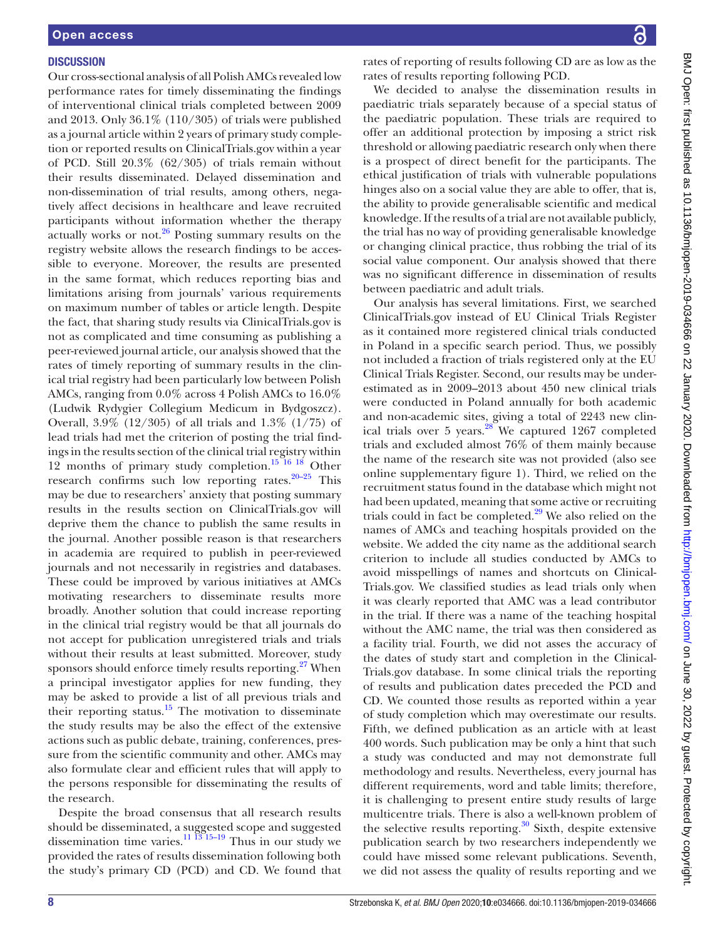#### **DISCUSSION**

Our cross-sectional analysis of all Polish AMCs revealed low performance rates for timely disseminating the findings of interventional clinical trials completed between 2009 and 2013. Only 36.1% (110/305) of trials were published as a journal article within 2 years of primary study completion or reported results on ClinicalTrials.gov within a year of PCD. Still 20.3% (62/305) of trials remain without their results disseminated. Delayed dissemination and non-dissemination of trial results, among others, negatively affect decisions in healthcare and leave recruited participants without information whether the therapy actually works or not. $26$  Posting summary results on the registry website allows the research findings to be accessible to everyone. Moreover, the results are presented in the same format, which reduces reporting bias and limitations arising from journals' various requirements on maximum number of tables or article length. Despite the fact, that sharing study results via ClinicalTrials.gov is not as complicated and time consuming as publishing a peer-reviewed journal article, our analysis showed that the rates of timely reporting of summary results in the clinical trial registry had been particularly low between Polish AMCs, ranging from 0.0% across 4 Polish AMCs to 16.0% (Ludwik Rydygier Collegium Medicum in Bydgoszcz). Overall, 3.9% (12/305) of all trials and 1.3% (1/75) of lead trials had met the criterion of posting the trial findings in the results section of the clinical trial registry within 12 months of primary study completion.<sup>15 16</sup> 18 Other research confirms such low reporting rates. $20-25$  This may be due to researchers' anxiety that posting summary results in the results section on ClinicalTrials.gov will deprive them the chance to publish the same results in the journal. Another possible reason is that researchers in academia are required to publish in peer-reviewed journals and not necessarily in registries and databases. These could be improved by various initiatives at AMCs motivating researchers to disseminate results more broadly. Another solution that could increase reporting in the clinical trial registry would be that all journals do not accept for publication unregistered trials and trials without their results at least submitted. Moreover, study sponsors should enforce timely results reporting.<sup>27</sup> When a principal investigator applies for new funding, they may be asked to provide a list of all previous trials and their reporting status.<sup>15</sup> The motivation to disseminate the study results may be also the effect of the extensive actions such as public debate, training, conferences, pressure from the scientific community and other. AMCs may also formulate clear and efficient rules that will apply to the persons responsible for disseminating the results of the research.

Despite the broad consensus that all research results should be disseminated, a suggested scope and suggested dissemination time varies.<sup>11 13</sup> 15–19 Thus in our study we provided the rates of results dissemination following both the study's primary CD (PCD) and CD. We found that BMJ Open: first published as 10.1136/bmjopen-2019-034666 on 22 January 2020. Downloaded from http://bmjopen.bmj.com/ on June 30, 2022 by guest. Protected by copyright BMJ Open: first published as 10.1136/bmjopen-2019-03019-22 January 2020. Downloaded from <http://bmjopen.bmj.com/> on June 30, 2022 by guest. Protected by copyright.

rates of reporting of results following CD are as low as the rates of results reporting following PCD.

We decided to analyse the dissemination results in paediatric trials separately because of a special status of the paediatric population. These trials are required to offer an additional protection by imposing a strict risk threshold or allowing paediatric research only when there is a prospect of direct benefit for the participants. The ethical justification of trials with vulnerable populations hinges also on a social value they are able to offer, that is, the ability to provide generalisable scientific and medical knowledge. If the results of a trial are not available publicly, the trial has no way of providing generalisable knowledge or changing clinical practice, thus robbing the trial of its social value component. Our analysis showed that there was no significant difference in dissemination of results between paediatric and adult trials.

Our analysis has several limitations. First, we searched ClinicalTrials.gov instead of EU Clinical Trials Register as it contained more registered clinical trials conducted in Poland in a specific search period. Thus, we possibly not included a fraction of trials registered only at the EU Clinical Trials Register. Second, our results may be underestimated as in 2009–2013 about 450 new clinical trials were conducted in Poland annually for both academic and non-academic sites, giving a total of 2243 new clinical trials over 5 years. $^{28}$  We captured 1267 completed trials and excluded almost 76% of them mainly because the name of the research site was not provided (also see [online supplementary figure 1\)](https://dx.doi.org/10.1136/bmjopen-2019-034666). Third, we relied on the recruitment status found in the database which might not had been updated, meaning that some active or recruiting trials could in fact be completed. $29$  We also relied on the names of AMCs and teaching hospitals provided on the website. We added the city name as the additional search criterion to include all studies conducted by AMCs to avoid misspellings of names and shortcuts on Clinical-Trials.gov. We classified studies as lead trials only when it was clearly reported that AMC was a lead contributor in the trial. If there was a name of the teaching hospital without the AMC name, the trial was then considered as a facility trial. Fourth, we did not asses the accuracy of the dates of study start and completion in the Clinical-Trials.gov database. In some clinical trials the reporting of results and publication dates preceded the PCD and CD. We counted those results as reported within a year of study completion which may overestimate our results. Fifth, we defined publication as an article with at least 400 words. Such publication may be only a hint that such a study was conducted and may not demonstrate full methodology and results. Nevertheless, every journal has different requirements, word and table limits; therefore, it is challenging to present entire study results of large multicentre trials. There is also a well-known problem of the selective results reporting. $30$  Sixth, despite extensive publication search by two researchers independently we could have missed some relevant publications. Seventh, we did not assess the quality of results reporting and we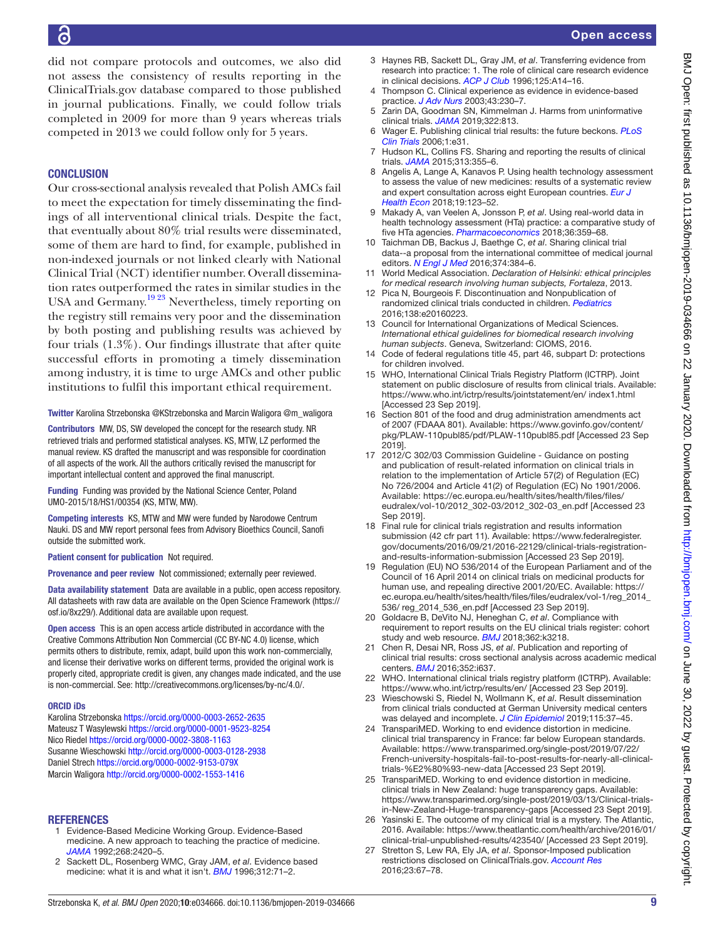did not compare protocols and outcomes, we also did not assess the consistency of results reporting in the ClinicalTrials.gov database compared to those published in journal publications. Finally, we could follow trials completed in 2009 for more than 9 years whereas trials competed in 2013 we could follow only for 5 years.

### **CONCLUSION**

Our cross-sectional analysis revealed that Polish AMCs fail to meet the expectation for timely disseminating the findings of all interventional clinical trials. Despite the fact, that eventually about 80% trial results were disseminated, some of them are hard to find, for example, published in non-indexed journals or not linked clearly with National Clinical Trial (NCT) identifier number. Overall dissemination rates outperformed the rates in similar studies in the USA and Germany[.19 23](#page-8-10) Nevertheless, timely reporting on the registry still remains very poor and the dissemination by both posting and publishing results was achieved by four trials (1.3%). Our findings illustrate that after quite successful efforts in promoting a timely dissemination among industry, it is time to urge AMCs and other public institutions to fulfil this important ethical requirement.

Twitter Karolina Strzebonska [@KStrzebonska](https://twitter.com/KStrzebonska) and Marcin Waligora [@m\\_waligora](https://twitter.com/m_waligora)

Contributors MW, DS, SW developed the concept for the research study. NR retrieved trials and performed statistical analyses. KS, MTW, LZ performed the manual review. KS drafted the manuscript and was responsible for coordination of all aspects of the work. All the authors critically revised the manuscript for important intellectual content and approved the final manuscript.

Funding Funding was provided by the National Science Center, Poland UMO-2015/18/HS1/00354 (KS, MTW, MW).

Competing interests KS, MTW and MW were funded by Narodowe Centrum Nauki. DS and MW report personal fees from Advisory Bioethics Council, Sanofi outside the submitted work.

Patient consent for publication Not required.

Provenance and peer review Not commissioned; externally peer reviewed.

Data availability statement Data are available in a public, open access repository. All datasheets with raw data are available on the Open Science Framework ([https://](https://osf.io/8xz29/) [osf.io/8xz29/\)](https://osf.io/8xz29/). Additional data are available upon request.

Open access This is an open access article distributed in accordance with the Creative Commons Attribution Non Commercial (CC BY-NC 4.0) license, which permits others to distribute, remix, adapt, build upon this work non-commercially, and license their derivative works on different terms, provided the original work is properly cited, appropriate credit is given, any changes made indicated, and the use is non-commercial. See: [http://creativecommons.org/licenses/by-nc/4.0/.](http://creativecommons.org/licenses/by-nc/4.0/)

#### ORCID iDs

Karolina Strzebonska <https://orcid.org/0000-0003-2652-2635> Mateusz T Wasylewski<https://orcid.org/0000-0001-9523-8254> Nico Riedel <https://orcid.org/0000-0002-3808-1163> Susanne Wieschowski<http://orcid.org/0000-0003-0128-2938> Daniel Strech <https://orcid.org/0000-0002-9153-079X> Marcin Waligora<http://orcid.org/0000-0002-1553-1416>

#### <span id="page-8-0"></span>**REFERENCES**

- 1 Evidence-Based Medicine Working Group. Evidence-Based medicine. A new approach to teaching the practice of medicine. *[JAMA](http://dx.doi.org/10.1001/jama.1992.03490170092032)* 1992;268:2420–5.
- 2 Sackett DL, Rosenberg WMC, Gray JAM, *et al*. Evidence based medicine: what it is and what it isn't. *[BMJ](http://dx.doi.org/10.1136/bmj.312.7023.71)* 1996;312:71–2.
- 3 Haynes RB, Sackett DL, Gray JM, *et al*. Transferring evidence from research into practice: 1. The role of clinical care research evidence in clinical decisions. *[ACP J Club](http://www.ncbi.nlm.nih.gov/pubmed/8963526)* 1996;125:A14–16.
- 4 Thompson C. Clinical experience as evidence in evidence-based practice. *[J Adv Nurs](http://dx.doi.org/10.1046/j.1365-2648.2003.02705.x)* 2003;43:230–7.
- <span id="page-8-1"></span>5 Zarin DA, Goodman SN, Kimmelman J. Harms from uninformative clinical trials. *[JAMA](http://dx.doi.org/10.1001/jama.2019.9892)* 2019;322:813.
- <span id="page-8-3"></span>6 Wager E. Publishing clinical trial results: the future beckons. *[PLoS](http://dx.doi.org/10.1371/journal.pctr.0010031)  [Clin Trials](http://dx.doi.org/10.1371/journal.pctr.0010031)* 2006;1:e31.
- 7 Hudson KL, Collins FS. Sharing and reporting the results of clinical trials. *[JAMA](http://dx.doi.org/10.1001/jama.2014.10716)* 2015;313:355–6.
- <span id="page-8-2"></span>8 Angelis A, Lange A, Kanavos P. Using health technology assessment to assess the value of new medicines: results of a systematic review and expert consultation across eight European countries. *[Eur J](http://dx.doi.org/10.1007/s10198-017-0871-0)  [Health Econ](http://dx.doi.org/10.1007/s10198-017-0871-0)* 2018;19:123–52.
- 9 Makady A, van Veelen A, Jonsson P, *et al*. Using real-world data in health technology assessment (HTa) practice: a comparative study of five HTa agencies. *[Pharmacoeconomics](http://dx.doi.org/10.1007/s40273-017-0596-z)* 2018;36:359–68.
- 10 Taichman DB, Backus J, Baethge C, *et al*. Sharing clinical trial data--a proposal from the international committee of medical journal editors. *[N Engl J Med](http://dx.doi.org/10.1056/NEJMe1515172)* 2016;374:384–6.
- <span id="page-8-14"></span>11 World Medical Association. *Declaration of Helsinki: ethical principles for medical research involving human subjects, Fortaleza*, 2013.
- <span id="page-8-4"></span>12 Pica N, Bourgeois F. Discontinuation and Nonpublication of randomized clinical trials conducted in children. *[Pediatrics](http://dx.doi.org/10.1542/peds.2016-0223)* 2016;138:e20160223.
- 13 Council for International Organizations of Medical Sciences. *International ethical guidelines for biomedical research involving human subjects*. Geneva, Switzerland: CIOMS, 2016.
- 14 Code of federal regulations title 45, part 46, subpart D: protections for children involved.
- <span id="page-8-5"></span>15 WHO, International Clinical Trials Registry Platform (ICTRP). Joint statement on public disclosure of results from clinical trials. Available: [https://www.who.int/ictrp/results/jointstatement/en/ index1.html](https://www.who.int/ictrp/results/jointstatement/en/%20index1.html)  [Accessed 23 Sep 2019].
- <span id="page-8-6"></span>16 Section 801 of the food and drug administration amendments act of 2007 (FDAAA 801). Available: [https://www.govinfo.gov/content/](https://www.govinfo.gov/content/pkg/PLAW-110publ85/pdf/PLAW-110publ85.pdf) [pkg/PLAW-110publ85/pdf/PLAW-110publ85.pdf](https://www.govinfo.gov/content/pkg/PLAW-110publ85/pdf/PLAW-110publ85.pdf) [Accessed 23 Sep 2019].
- <span id="page-8-9"></span>17 2012/C 302/03 Commission Guideline - Guidance on posting and publication of result-related information on clinical trials in relation to the implementation of Article 57(2) of Regulation (EC) No 726/2004 and Article 41(2) of Regulation (EC) No 1901/2006. Available: [https://ec.europa.eu/health/sites/health/files/files/](https://ec.europa.eu/health/sites/health/files/files/eudralex/vol-10/2012_302-03/2012_302-03_en.pdf) [eudralex/vol-10/2012\\_302-03/2012\\_302-03\\_en.pdf](https://ec.europa.eu/health/sites/health/files/files/eudralex/vol-10/2012_302-03/2012_302-03_en.pdf) [Accessed 23 Sep 2019].
- 18 Final rule for clinical trials registration and results information submission (42 cfr part 11). Available: [https://www.federalregister.](https://www.federalregister.gov/documents/2016/09/21/2016-22129/clinical-trials-registration-and-results-information-submission) [gov/documents/2016/09/21/2016-22129/clinical-trials-registration](https://www.federalregister.gov/documents/2016/09/21/2016-22129/clinical-trials-registration-and-results-information-submission)[and-results-information-submission](https://www.federalregister.gov/documents/2016/09/21/2016-22129/clinical-trials-registration-and-results-information-submission) [Accessed 23 Sep 2019].
- <span id="page-8-10"></span>19 Regulation (EU) NO 536/2014 of the European Parliament and of the Council of 16 April 2014 on clinical trials on medicinal products for human use, and repealing directive 2001/20/EC. Available: [https://](https://ec.europa.eu/health/sites/health/files/files/eudralex/vol-1/reg_2014_536/%20reg_2014_536_en.pdf) [ec.europa.eu/health/sites/health/files/files/eudralex/vol-1/reg\\_2014\\_](https://ec.europa.eu/health/sites/health/files/files/eudralex/vol-1/reg_2014_536/%20reg_2014_536_en.pdf) [536/ reg\\_2014\\_536\\_en.pdf](https://ec.europa.eu/health/sites/health/files/files/eudralex/vol-1/reg_2014_536/%20reg_2014_536_en.pdf) [Accessed 23 Sep 2019].
- <span id="page-8-7"></span>20 Goldacre B, DeVito NJ, Heneghan C, *et al*. Compliance with requirement to report results on the EU clinical trials register: cohort study and web resource. *[BMJ](http://dx.doi.org/10.1136/bmj.k3218)* 2018;362:k3218.
- <span id="page-8-11"></span>21 Chen R, Desai NR, Ross JS, *et al*. Publication and reporting of clinical trial results: cross sectional analysis across academic medical centers. *[BMJ](http://dx.doi.org/10.1136/bmj.i637)* 2016;352:i637.
- <span id="page-8-8"></span>22 WHO. International clinical trials registry platform (ICTRP). Available: <https://www.who.int/ictrp/results/en/> [Accessed 23 Sep 2019].
- 23 Wieschowski S, Riedel N, Wollmann K, *et al*. Result dissemination from clinical trials conducted at German University medical centers was delayed and incomplete. *[J Clin Epidemiol](http://dx.doi.org/10.1016/j.jclinepi.2019.06.002)* 2019;115:37–45.
- 24 TranspariMED. Working to end evidence distortion in medicine. clinical trial transparency in France: far below European standards. Available: [https://www.transparimed.org/single-post/2019/07/22/](https://www.transparimed.org/single-post/2019/07/22/French-university-hospitals-fail-to-post-results-for-nearly-all-clinical-trials-%E2%80%93-new-data) [French-university-hospitals-fail-to-post-results-for-nearly-all-clinical](https://www.transparimed.org/single-post/2019/07/22/French-university-hospitals-fail-to-post-results-for-nearly-all-clinical-trials-%E2%80%93-new-data)[trials-%E2%80%93-new-data](https://www.transparimed.org/single-post/2019/07/22/French-university-hospitals-fail-to-post-results-for-nearly-all-clinical-trials-%E2%80%93-new-data) [Accessed 23 Sept 2019].
- 25 TranspariMED. Working to end evidence distortion in medicine. clinical trials in New Zealand: huge transparency gaps. Available: [https://www.transparimed.org/single-post/2019/03/13/Clinical-trials](https://www.transparimed.org/single-post/2019/03/13/Clinical-trials-in-New-Zealand-Huge-transparency-gaps)[in-New-Zealand-Huge-transparency-gaps](https://www.transparimed.org/single-post/2019/03/13/Clinical-trials-in-New-Zealand-Huge-transparency-gaps) [Accessed 23 Sept 2019].
- <span id="page-8-12"></span>Yasinski E. The outcome of my clinical trial is a mystery. The Atlantic, 2016. Available: [https://www.theatlantic.com/health/archive/2016/01/](https://www.theatlantic.com/health/archive/2016/01/clinical-trial-unpublished-results/423540/) [clinical-trial-unpublished-results/423540/](https://www.theatlantic.com/health/archive/2016/01/clinical-trial-unpublished-results/423540/) [Accessed 23 Sept 2019].
- <span id="page-8-13"></span>27 Stretton S, Lew RA, Ely JA, *et al*. Sponsor-Imposed publication restrictions disclosed on ClinicalTrials.gov. *[Account Res](http://dx.doi.org/10.1080/08989621.2015.1020375)* 2016;23:67–78.